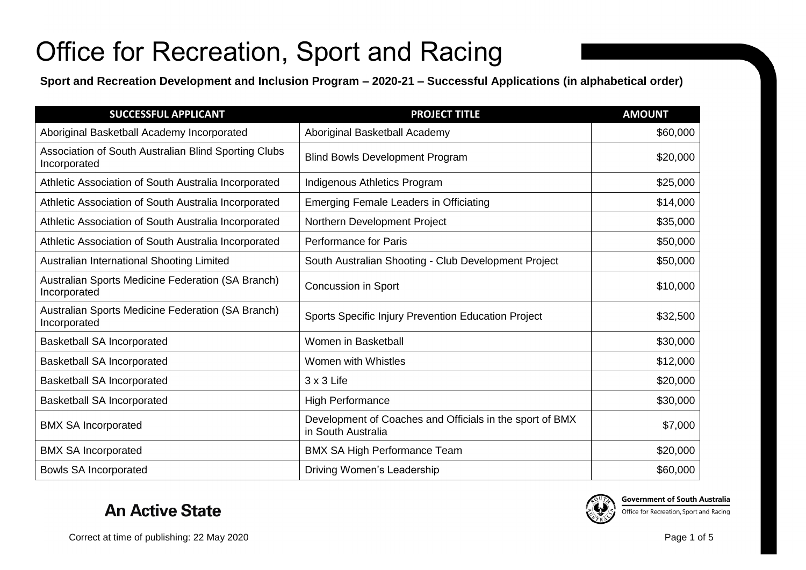**Sport and Recreation Development and Inclusion Program – 2020-21 – Successful Applications (in alphabetical order)**

| <b>SUCCESSFUL APPLICANT</b>                                          | <b>PROJECT TITLE</b>                                                           | <b>AMOUNT</b> |
|----------------------------------------------------------------------|--------------------------------------------------------------------------------|---------------|
| Aboriginal Basketball Academy Incorporated                           | Aboriginal Basketball Academy                                                  | \$60,000      |
| Association of South Australian Blind Sporting Clubs<br>Incorporated | <b>Blind Bowls Development Program</b>                                         | \$20,000      |
| Athletic Association of South Australia Incorporated                 | Indigenous Athletics Program                                                   | \$25,000      |
| Athletic Association of South Australia Incorporated                 | <b>Emerging Female Leaders in Officiating</b>                                  | \$14,000      |
| Athletic Association of South Australia Incorporated                 | Northern Development Project                                                   | \$35,000      |
| Athletic Association of South Australia Incorporated                 | <b>Performance for Paris</b>                                                   | \$50,000      |
| Australian International Shooting Limited                            | South Australian Shooting - Club Development Project                           | \$50,000      |
| Australian Sports Medicine Federation (SA Branch)<br>Incorporated    | Concussion in Sport                                                            | \$10,000      |
| Australian Sports Medicine Federation (SA Branch)<br>Incorporated    | Sports Specific Injury Prevention Education Project                            | \$32,500      |
| <b>Basketball SA Incorporated</b>                                    | Women in Basketball                                                            | \$30,000      |
| <b>Basketball SA Incorporated</b>                                    | Women with Whistles                                                            | \$12,000      |
| <b>Basketball SA Incorporated</b>                                    | $3 \times 3$ Life                                                              | \$20,000      |
| <b>Basketball SA Incorporated</b>                                    | <b>High Performance</b>                                                        | \$30,000      |
| <b>BMX SA Incorporated</b>                                           | Development of Coaches and Officials in the sport of BMX<br>in South Australia | \$7,000       |
| <b>BMX SA Incorporated</b>                                           | <b>BMX SA High Performance Team</b>                                            | \$20,000      |
| <b>Bowls SA Incorporated</b>                                         | Driving Women's Leadership                                                     | \$60,000      |

#### **An Active State**



**Government of South Australia** Office for Recreation, Sport and Racing

Correct at time of publishing: 22 May 2020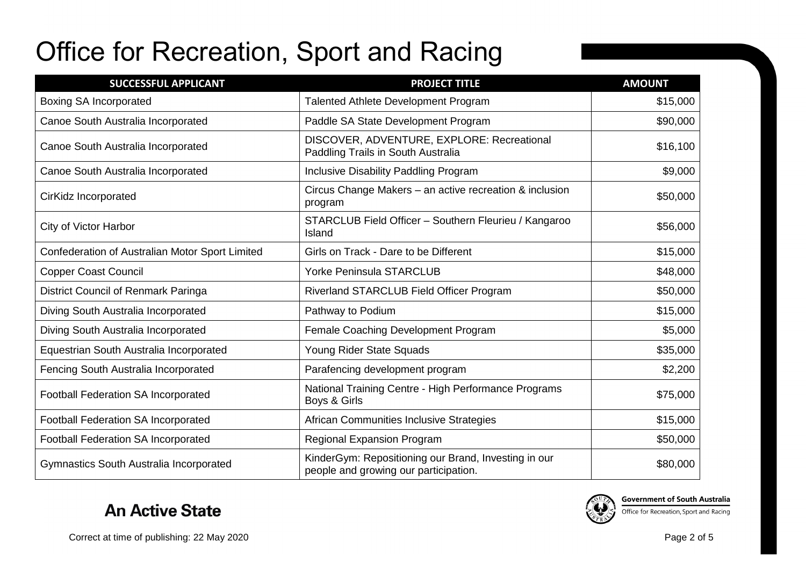| <b>SUCCESSFUL APPLICANT</b>                     | <b>PROJECT TITLE</b>                                                                          | <b>AMOUNT</b> |
|-------------------------------------------------|-----------------------------------------------------------------------------------------------|---------------|
| <b>Boxing SA Incorporated</b>                   | <b>Talented Athlete Development Program</b>                                                   | \$15,000      |
| Canoe South Australia Incorporated              | Paddle SA State Development Program                                                           | \$90,000      |
| Canoe South Australia Incorporated              | DISCOVER, ADVENTURE, EXPLORE: Recreational<br>Paddling Trails in South Australia              | \$16,100      |
| Canoe South Australia Incorporated              | <b>Inclusive Disability Paddling Program</b>                                                  | \$9,000       |
| CirKidz Incorporated                            | Circus Change Makers – an active recreation & inclusion<br>program                            | \$50,000      |
| <b>City of Victor Harbor</b>                    | STARCLUB Field Officer - Southern Fleurieu / Kangaroo<br>Island                               | \$56,000      |
| Confederation of Australian Motor Sport Limited | Girls on Track - Dare to be Different                                                         | \$15,000      |
| <b>Copper Coast Council</b>                     | <b>Yorke Peninsula STARCLUB</b>                                                               | \$48,000      |
| District Council of Renmark Paringa             | Riverland STARCLUB Field Officer Program                                                      | \$50,000      |
| Diving South Australia Incorporated             | Pathway to Podium                                                                             | \$15,000      |
| Diving South Australia Incorporated             | Female Coaching Development Program                                                           | \$5,000       |
| Equestrian South Australia Incorporated         | Young Rider State Squads                                                                      | \$35,000      |
| Fencing South Australia Incorporated            | Parafencing development program                                                               | \$2,200       |
| Football Federation SA Incorporated             | National Training Centre - High Performance Programs<br>Boys & Girls                          | \$75,000      |
| Football Federation SA Incorporated             | African Communities Inclusive Strategies                                                      | \$15,000      |
| <b>Football Federation SA Incorporated</b>      | <b>Regional Expansion Program</b>                                                             | \$50,000      |
| Gymnastics South Australia Incorporated         | KinderGym: Repositioning our Brand, Investing in our<br>people and growing our participation. | \$80,000      |

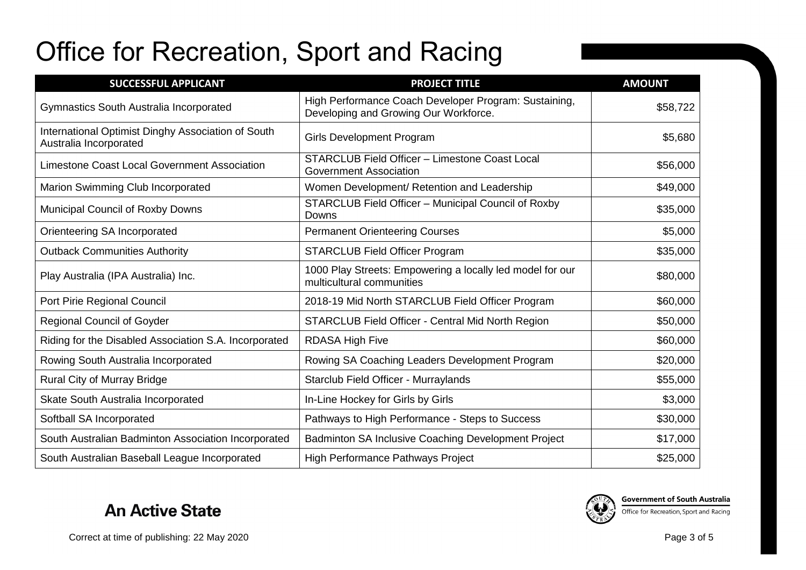| <b>SUCCESSFUL APPLICANT</b>                                                  | <b>PROJECT TITLE</b>                                                                           | <b>AMOUNT</b> |
|------------------------------------------------------------------------------|------------------------------------------------------------------------------------------------|---------------|
| Gymnastics South Australia Incorporated                                      | High Performance Coach Developer Program: Sustaining,<br>Developing and Growing Our Workforce. | \$58,722      |
| International Optimist Dinghy Association of South<br>Australia Incorporated | <b>Girls Development Program</b>                                                               | \$5,680       |
| Limestone Coast Local Government Association                                 | STARCLUB Field Officer - Limestone Coast Local<br><b>Government Association</b>                | \$56,000      |
| Marion Swimming Club Incorporated                                            | Women Development/ Retention and Leadership                                                    | \$49,000      |
| Municipal Council of Roxby Downs                                             | STARCLUB Field Officer - Municipal Council of Roxby<br>Downs                                   | \$35,000      |
| Orienteering SA Incorporated                                                 | <b>Permanent Orienteering Courses</b>                                                          | \$5,000       |
| <b>Outback Communities Authority</b>                                         | <b>STARCLUB Field Officer Program</b>                                                          | \$35,000      |
| Play Australia (IPA Australia) Inc.                                          | 1000 Play Streets: Empowering a locally led model for our<br>multicultural communities         | \$80,000      |
| Port Pirie Regional Council                                                  | 2018-19 Mid North STARCLUB Field Officer Program                                               | \$60,000      |
| <b>Regional Council of Goyder</b>                                            | STARCLUB Field Officer - Central Mid North Region                                              | \$50,000      |
| Riding for the Disabled Association S.A. Incorporated                        | <b>RDASA High Five</b>                                                                         | \$60,000      |
| Rowing South Australia Incorporated                                          | Rowing SA Coaching Leaders Development Program                                                 | \$20,000      |
| Rural City of Murray Bridge                                                  | Starclub Field Officer - Murraylands                                                           | \$55,000      |
| Skate South Australia Incorporated                                           | In-Line Hockey for Girls by Girls                                                              | \$3,000       |
| Softball SA Incorporated                                                     | Pathways to High Performance - Steps to Success                                                | \$30,000      |
| South Australian Badminton Association Incorporated                          | Badminton SA Inclusive Coaching Development Project                                            | \$17,000      |
| South Australian Baseball League Incorporated                                | High Performance Pathways Project                                                              | \$25,000      |





**Government of South Australia**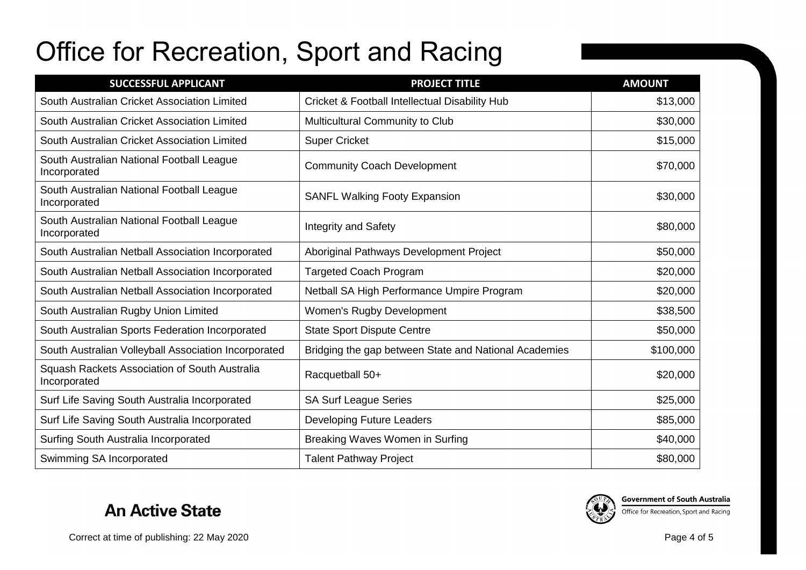| <b>SUCCESSFUL APPLICANT</b>                                   | <b>PROJECT TITLE</b>                                  | <b>AMOUNT</b> |
|---------------------------------------------------------------|-------------------------------------------------------|---------------|
| South Australian Cricket Association Limited                  | Cricket & Football Intellectual Disability Hub        | \$13,000      |
| South Australian Cricket Association Limited                  | Multicultural Community to Club                       | \$30,000      |
| South Australian Cricket Association Limited                  | <b>Super Cricket</b>                                  | \$15,000      |
| South Australian National Football League<br>Incorporated     | <b>Community Coach Development</b>                    | \$70,000      |
| South Australian National Football League<br>Incorporated     | <b>SANFL Walking Footy Expansion</b>                  | \$30,000      |
| South Australian National Football League<br>Incorporated     | <b>Integrity and Safety</b>                           | \$80,000      |
| South Australian Netball Association Incorporated             | Aboriginal Pathways Development Project               | \$50,000      |
| South Australian Netball Association Incorporated             | <b>Targeted Coach Program</b>                         | \$20,000      |
| South Australian Netball Association Incorporated             | Netball SA High Performance Umpire Program            | \$20,000      |
| South Australian Rugby Union Limited                          | Women's Rugby Development                             | \$38,500      |
| South Australian Sports Federation Incorporated               | <b>State Sport Dispute Centre</b>                     | \$50,000      |
| South Australian Volleyball Association Incorporated          | Bridging the gap between State and National Academies | \$100,000     |
| Squash Rackets Association of South Australia<br>Incorporated | Racquetball 50+                                       | \$20,000      |
| Surf Life Saving South Australia Incorporated                 | <b>SA Surf League Series</b>                          | \$25,000      |
| Surf Life Saving South Australia Incorporated                 | <b>Developing Future Leaders</b>                      | \$85,000      |
| Surfing South Australia Incorporated                          | Breaking Waves Women in Surfing                       | \$40,000      |
| Swimming SA Incorporated                                      | <b>Talent Pathway Project</b>                         | \$80,000      |